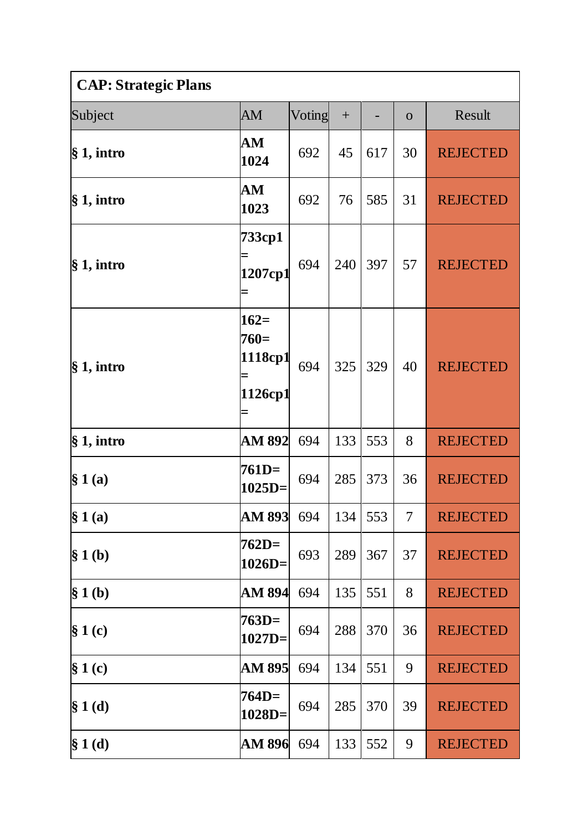| <b>CAP: Strategic Plans</b> |                                        |        |     |     |              |                 |
|-----------------------------|----------------------------------------|--------|-----|-----|--------------|-----------------|
| Subject                     | AM                                     | Voting | $+$ |     | $\mathbf{O}$ | Result          |
| § 1, intro                  | AM<br>1024                             | 692    | 45  | 617 | 30           | <b>REJECTED</b> |
| § 1, intro                  | AM<br>1023                             | 692    | 76  | 585 | 31           | <b>REJECTED</b> |
| $§ 1,$ intro                | 733cp1<br>1207cp1                      | 694    | 240 | 397 | 57           | <b>REJECTED</b> |
| § 1, intro                  | $162=$<br>$760=$<br>1118cp1<br>1126cp1 | 694    | 325 | 329 | 40           | <b>REJECTED</b> |
| § 1, intro                  | AM 892                                 | 694    | 133 | 553 | 8            | <b>REJECTED</b> |
| § 1(a)                      | $761D=$<br>$1025D =$                   | 694    | 285 | 373 | 36           | <b>REJECTED</b> |
| § 1(a)                      | <b>AM 893</b>                          | 694    | 134 | 553 | $\tau$       | <b>REJECTED</b> |
| § 1(b)                      | $762D=$<br>$1026D=$                    | 693    | 289 | 367 | 37           | <b>REJECTED</b> |
| § 1(b)                      | <b>AM 894</b>                          | 694    | 135 | 551 | 8            | <b>REJECTED</b> |
| $§ 1($ c $)$                | $763D=$<br>$1027D=$                    | 694    | 288 | 370 | 36           | <b>REJECTED</b> |
| $§ 1($ c $)$                | AM 895                                 | 694    | 134 | 551 | 9            | <b>REJECTED</b> |
| $§ 1($ d $)$                | 764D=<br>$1028D =$                     | 694    | 285 | 370 | 39           | <b>REJECTED</b> |
| $§ 1$ (d)                   | AM 896                                 | 694    | 133 | 552 | 9            | <b>REJECTED</b> |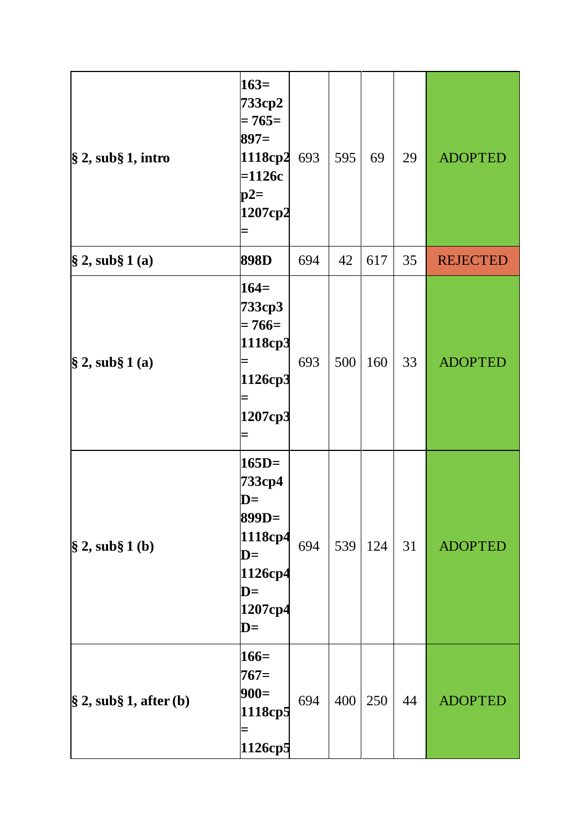| $\$\,2,$ sub $\S\,1,$ intro        | $163=$<br>733cp2<br>$= 765 =$<br>$897=$<br>1118cp2<br>$=1126c$<br>$p2=$<br>1207cp2                                                  | 693 | 595 | 69  | 29 | <b>ADOPTED</b>  |
|------------------------------------|-------------------------------------------------------------------------------------------------------------------------------------|-----|-----|-----|----|-----------------|
| $\hat{\S}$ 2, sub $\hat{\S}$ 1 (a) | 898D                                                                                                                                | 694 | 42  | 617 | 35 | <b>REJECTED</b> |
| $\hat{\S}$ 2, sub $\hat{\S}$ 1 (a) | $164=$<br>733cp3<br>$= 766 =$<br>1118cp3<br>1126cp3<br>1207cp3                                                                      | 693 | 500 | 160 | 33 | <b>ADOPTED</b>  |
| $\$ {2, sub\ 1 (b)                 | $165D=$<br>733ср4<br>$\mathbf{D} =$<br>899D=<br>1118cp4<br>$\mathbf{D} =$<br>1126cp4<br>$\mathbf{D} =$<br>1207cp4<br>$\mathbf{D} =$ | 694 | 539 | 124 | 31 | <b>ADOPTED</b>  |
| $\S 2$ , sub $\S 1$ , after (b)    | $166=$<br>$767=$<br>$900=$<br>1118cp5<br>1126cp5                                                                                    | 694 | 400 | 250 | 44 | <b>ADOPTED</b>  |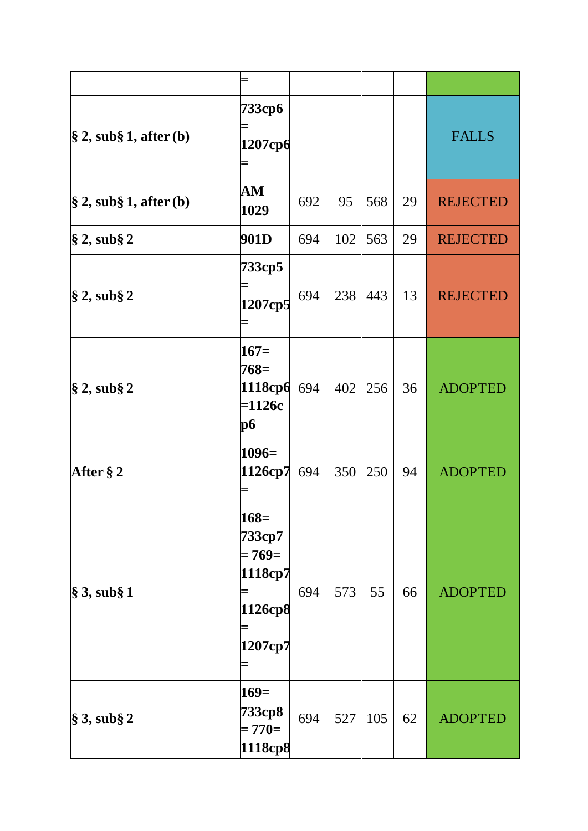| $\S$ 2, sub $\S$ 1, after (b)                 | 733ср6<br>1207срб                                              |     |     |     |    | <b>FALLS</b>    |
|-----------------------------------------------|----------------------------------------------------------------|-----|-----|-----|----|-----------------|
| $\frac{1}{2}$ , sub $\frac{1}{2}$ , after (b) | ${\bf AM}$<br>1029                                             | 692 | 95  | 568 | 29 | <b>REJECTED</b> |
| $\$ {2, sub\ 2                                | 901D                                                           | 694 | 102 | 563 | 29 | <b>REJECTED</b> |
| $\S 2$ , sub $\S 2$                           | 733cp5<br>1207cp5                                              | 694 | 238 | 443 | 13 | <b>REJECTED</b> |
| $\S 2$ , sub $\S 2$                           | $167=$<br>$768=$<br>1118cp6<br>$=1126c$<br><b>p6</b>           | 694 | 402 | 256 | 36 | <b>ADOPTED</b>  |
| After § 2                                     | $1096=$<br>1126cp7                                             | 694 | 350 | 250 | 94 | <b>ADOPTED</b>  |
| $\$ {3, sub\ 1                                | $168=$<br>733ср7<br>$= 769 =$<br>1118cp7<br>1126cp8<br>1207cp7 | 694 | 573 | 55  | 66 | <b>ADOPTED</b>  |
| $\$\,3,$ sub $\S\,2$                          | $169=$<br>733ср8<br>$= 770 =$<br>1118cp8                       | 694 | 527 | 105 | 62 | <b>ADOPTED</b>  |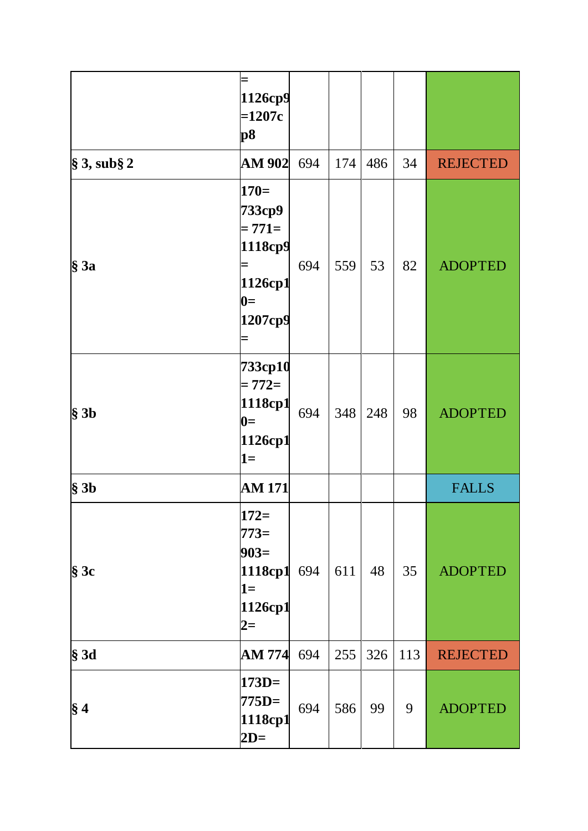|                      | 1126cp9<br>$=1207c$<br>p <sub>8</sub>                                  |     |     |     |     |                 |
|----------------------|------------------------------------------------------------------------|-----|-----|-----|-----|-----------------|
| $\$\,3,$ sub $\S\,2$ | <b>AM 902</b>                                                          | 694 | 174 | 486 | 34  | <b>REJECTED</b> |
| $§$ 3a               | $170=$<br>733ср9<br>$= 771 =$<br>1118cp9<br>1126cp1<br>$0=$<br>1207cp9 | 694 | 559 | 53  | 82  | <b>ADOPTED</b>  |
| $§$ 3b               | 733cp10<br>$= 772 =$<br>1118cp1<br>$0=$<br>1126cp1<br>$1 =$            | 694 | 348 | 248 | 98  | <b>ADOPTED</b>  |
| $§$ 3b               | <b>AM 171</b>                                                          |     |     |     |     | <b>FALLS</b>    |
| $§$ 3c               | $172=$<br>$773=$<br>$903=$<br>1118cp1<br>$1 =$<br>1126cp1<br>$2=$      | 694 | 611 | 48  | 35  | <b>ADOPTED</b>  |
| § 3d                 | <b>AM 774</b>                                                          | 694 | 255 | 326 | 113 | <b>REJECTED</b> |
| $\S 4$               | $173D=$<br>$775D=$<br>1118cp1<br>$2D=$                                 | 694 | 586 | 99  | 9   | <b>ADOPTED</b>  |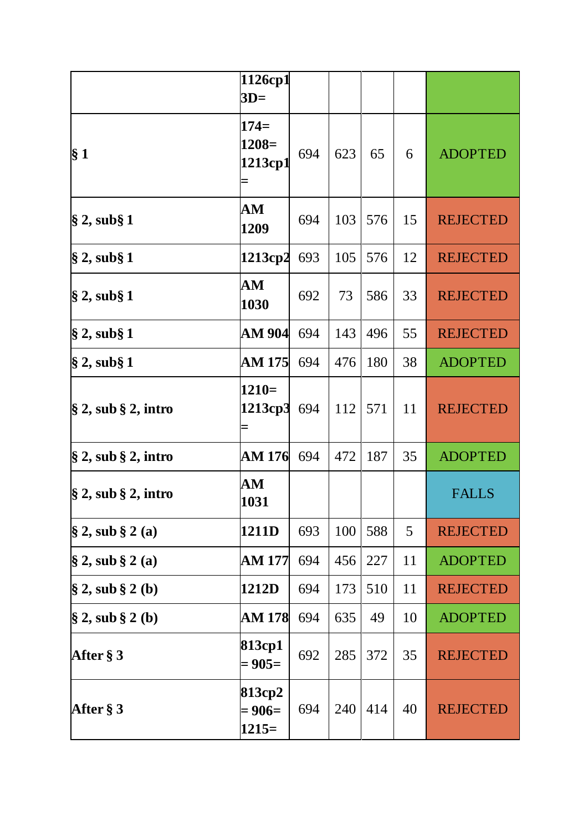|                                    | 1126cp1<br>$3D=$               |     |     |     |    |                 |
|------------------------------------|--------------------------------|-----|-----|-----|----|-----------------|
| $\S 1$                             | $174=$<br>$1208=$<br>1213cp1   | 694 | 623 | 65  | 6  | <b>ADOPTED</b>  |
| $\S 2$ , sub $\S 1$                | AM<br>1209                     | 694 | 103 | 576 | 15 | <b>REJECTED</b> |
| $\S 2$ , sub $\S 1$                | 1213cp2                        | 693 | 105 | 576 | 12 | <b>REJECTED</b> |
| $\S$ 2, sub $\S$ 1                 | ${\bf AM}$<br>1030             | 692 | 73  | 586 | 33 | <b>REJECTED</b> |
| $\S 2$ , sub $\S 1$                | AM 904                         | 694 | 143 | 496 | 55 | <b>REJECTED</b> |
| § 2, sub§ 1                        | <b>AM 175</b>                  | 694 | 476 | 180 | 38 | <b>ADOPTED</b>  |
| $\S 2$ , sub $\S 2$ , intro        | $1210=$<br>1213cp3             | 694 | 112 | 571 | 11 | <b>REJECTED</b> |
| $\S 2$ , sub $\S 2$ , intro        | AM 176                         | 694 | 472 | 187 | 35 | <b>ADOPTED</b>  |
| $\$\,2,$ sub $\S\,2,$ intro        | AM<br>1031                     |     |     |     |    | <b>FALLS</b>    |
| $\hat{\S}$ 2, sub $\hat{\S}$ 2 (a) | 1211D                          | 693 | 100 | 588 | 5  | <b>REJECTED</b> |
| $\hat{\S}$ 2, sub $\hat{\S}$ 2 (a) | AM 177                         | 694 | 456 | 227 | 11 | <b>ADOPTED</b>  |
| $\S 2$ , sub $\S 2$ (b)            | 1212D                          | 694 | 173 | 510 | 11 | <b>REJECTED</b> |
| $\S 2$ , sub $\S 2$ (b)            | AM 178                         | 694 | 635 | 49  | 10 | <b>ADOPTED</b>  |
| After $\S 3$                       | 813cp1<br>$= 905 =$            | 692 | 285 | 372 | 35 | <b>REJECTED</b> |
| After $\S 3$                       | 813cp2<br>$= 906 =$<br>$1215=$ | 694 | 240 | 414 | 40 | <b>REJECTED</b> |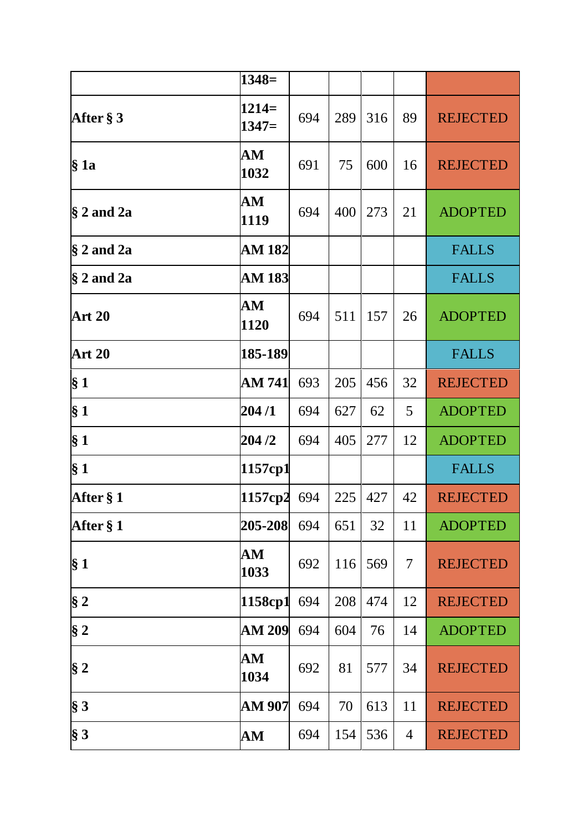|                        | $1348=$            |     |     |     |    |                 |
|------------------------|--------------------|-----|-----|-----|----|-----------------|
| After $\S 3$           | $1214=$<br>$1347=$ | 694 | 289 | 316 | 89 | <b>REJECTED</b> |
| § 1a                   | AM<br>1032         | 691 | 75  | 600 | 16 | <b>REJECTED</b> |
| $\frac{8}{3}$ 2 and 2a | ${\bf AM}$<br>1119 | 694 | 400 | 273 | 21 | <b>ADOPTED</b>  |
| $§$ 2 and 2a           | AM 182             |     |     |     |    | <b>FALLS</b>    |
| $\frac{8}{3}$ 2 and 2a | <b>AM 183</b>      |     |     |     |    | <b>FALLS</b>    |
| <b>Art 20</b>          | AM<br>1120         | 694 | 511 | 157 | 26 | <b>ADOPTED</b>  |
| <b>Art 20</b>          | 185-189            |     |     |     |    | <b>FALLS</b>    |
| $\S 1$                 | AM 741             | 693 | 205 | 456 | 32 | <b>REJECTED</b> |
| § 1                    | 204/1              | 694 | 627 | 62  | 5  | <b>ADOPTED</b>  |
| $\S 1$                 | 204/2              | 694 | 405 | 277 | 12 | <b>ADOPTED</b>  |
| § 1                    | 1157cp1            |     |     |     |    | <b>FALLS</b>    |
| After § 1              | 1157cp2            | 694 | 225 | 427 | 42 | <b>REJECTED</b> |
| After § 1              | 205-208            | 694 | 651 | 32  | 11 | <b>ADOPTED</b>  |
| $\S 1$                 | AM<br>1033         | 692 | 116 | 569 | 7  | <b>REJECTED</b> |
| § 2                    | 1158cp1            | 694 | 208 | 474 | 12 | <b>REJECTED</b> |
| $\S 2$                 | <b>AM 209</b>      | 694 | 604 | 76  | 14 | <b>ADOPTED</b>  |
| $\S 2$                 | AM<br>1034         | 692 | 81  | 577 | 34 | <b>REJECTED</b> |
| $\S 3$                 | AM 907             | 694 | 70  | 613 | 11 | <b>REJECTED</b> |
| $\S 3$                 | AM                 | 694 | 154 | 536 | 4  | <b>REJECTED</b> |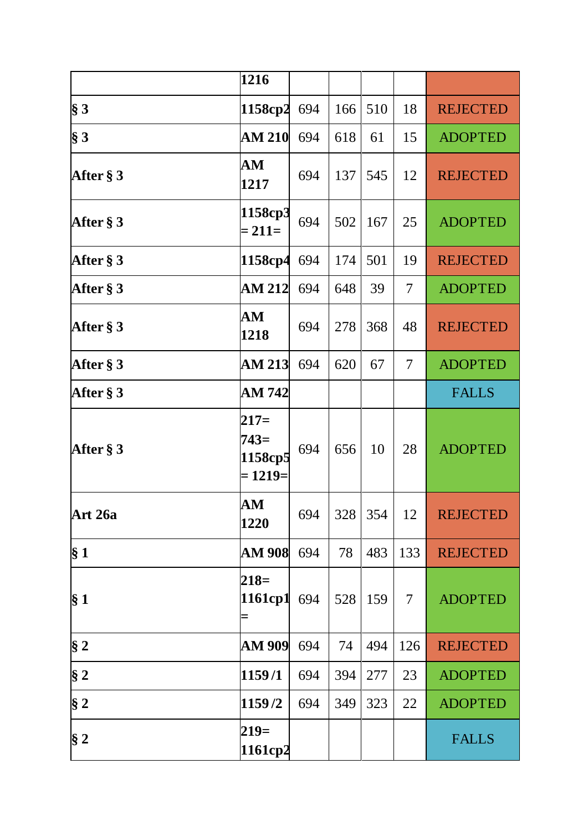|              | 1216                                      |     |     |           |                |                 |
|--------------|-------------------------------------------|-----|-----|-----------|----------------|-----------------|
| $\S 3$       | 1158cp2                                   | 694 | 166 | 510       | 18             | <b>REJECTED</b> |
| $\S 3$       | <b>AM 210</b>                             | 694 | 618 | 61        | 15             | <b>ADOPTED</b>  |
| After § 3    | AM<br>1217                                | 694 | 137 | 545       | 12             | <b>REJECTED</b> |
| After $\S 3$ | 1158cp3<br>$= 211 =$                      | 694 | 502 | 167       | 25             | <b>ADOPTED</b>  |
| After § 3    | 1158cp4                                   | 694 | 174 | 501       | 19             | <b>REJECTED</b> |
| After § 3    | AM 212                                    | 694 | 648 | 39        | $\overline{7}$ | <b>ADOPTED</b>  |
| After $\S 3$ | ${\bf AM}$<br>1218                        | 694 | 278 | 368       | 48             | <b>REJECTED</b> |
| After § 3    | <b>AM 213</b>                             | 694 | 620 | 67        | 7              | <b>ADOPTED</b>  |
| After $\S 3$ | AM 742                                    |     |     |           |                | <b>FALLS</b>    |
| After § 3    | $217=$<br>$743=$<br>1158cp5<br>$= 1219 =$ | 694 | 656 | 10        | 28             | <b>ADOPTED</b>  |
| Art 26a      | AM<br>1220                                | 694 |     | $328$ 354 | 12             | <b>REJECTED</b> |
| $\S 1$       | <b>AM 908</b>                             | 694 | 78  | 483       | 133            | <b>REJECTED</b> |
| $\S 1$       | $218=$<br>1161cp1<br>Ξ                    | 694 | 528 | 159       | 7              | <b>ADOPTED</b>  |
| $§$ 2        | <b>AM 909</b>                             | 694 | 74  | 494       | 126            | <b>REJECTED</b> |
| § 2          | 1159/1                                    | 694 | 394 | 277       | 23             | <b>ADOPTED</b>  |
| $§$ 2        | 1159/2                                    | 694 | 349 | 323       | 22             | <b>ADOPTED</b>  |
| § 2          | $219=$<br>1161cp2                         |     |     |           |                | <b>FALLS</b>    |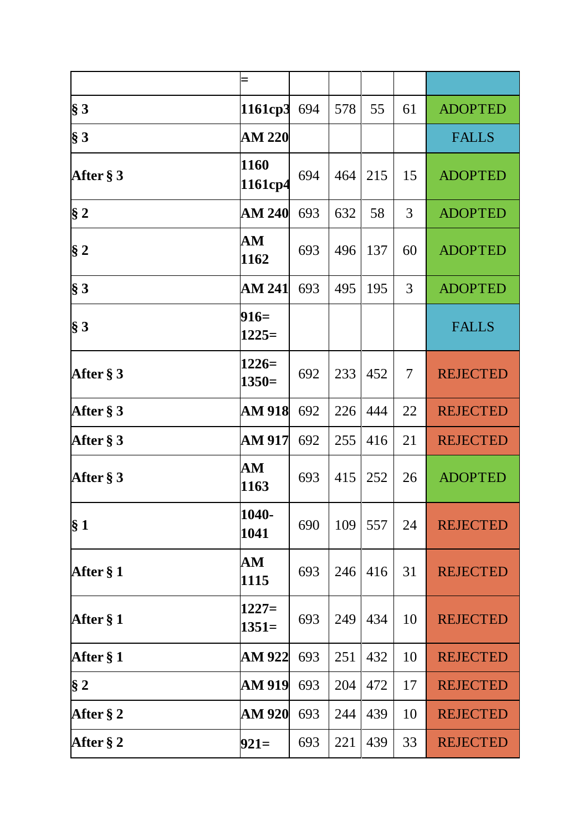|              | Ξ                  |     |     |     |    |                 |
|--------------|--------------------|-----|-----|-----|----|-----------------|
| $\S 3$       | 1161cp3            | 694 | 578 | 55  | 61 | <b>ADOPTED</b>  |
| $\S 3$       | <b>AM 220</b>      |     |     |     |    | <b>FALLS</b>    |
| After $\S 3$ | 1160<br>1161cp4    | 694 | 464 | 215 | 15 | <b>ADOPTED</b>  |
| § 2          | <b>AM 240</b>      | 693 | 632 | 58  | 3  | <b>ADOPTED</b>  |
| $\S 2$       | ${\bf AM}$<br>1162 | 693 | 496 | 137 | 60 | <b>ADOPTED</b>  |
| $\S 3$       | <b>AM 241</b>      | 693 | 495 | 195 | 3  | <b>ADOPTED</b>  |
| $\S 3$       | $916=$<br>$1225=$  |     |     |     |    | <b>FALLS</b>    |
| After $\S 3$ | $1226=$<br>$1350=$ | 692 | 233 | 452 | 7  | <b>REJECTED</b> |
| After $\S 3$ | <b>AM 918</b>      | 692 | 226 | 444 | 22 | <b>REJECTED</b> |
| After $\S 3$ | AM 917             | 692 | 255 | 416 | 21 | <b>REJECTED</b> |
| After § 3    | ${\bf AM}$<br>1163 | 693 | 415 | 252 | 26 | <b>ADOPTED</b>  |
| § 1          | 1040-<br>1041      | 690 | 109 | 557 | 24 | <b>REJECTED</b> |
| After § 1    | ${\bf AM}$<br>1115 | 693 | 246 | 416 | 31 | <b>REJECTED</b> |
| After § 1    | $1227=$<br>$1351=$ | 693 | 249 | 434 | 10 | <b>REJECTED</b> |
| After $§ 1$  | AM 922             | 693 | 251 | 432 | 10 | <b>REJECTED</b> |
| $\S 2$       | <b>AM 919</b>      | 693 | 204 | 472 | 17 | <b>REJECTED</b> |
| After $\S 2$ | <b>AM 920</b>      | 693 | 244 | 439 | 10 | <b>REJECTED</b> |
| After § 2    | $921=$             | 693 | 221 | 439 | 33 | <b>REJECTED</b> |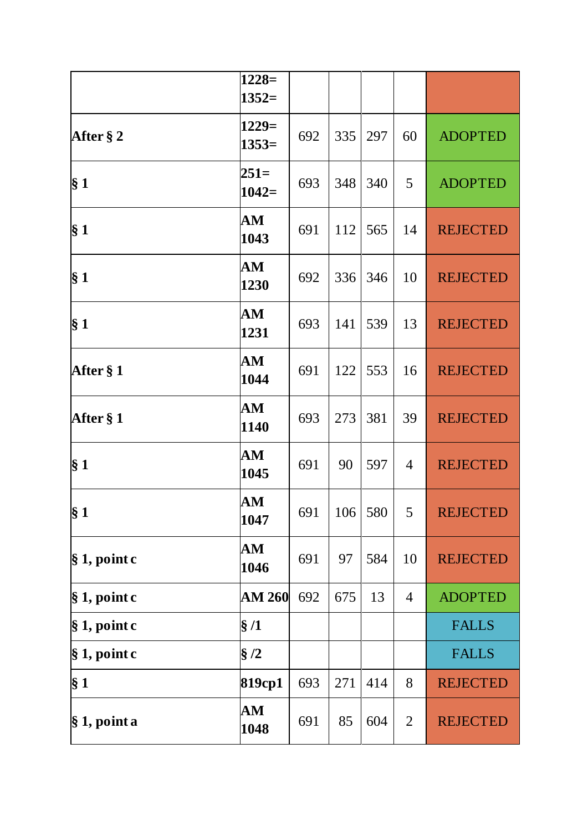|                  | $1228=$<br>$1352=$ |     |     |     |                |                 |
|------------------|--------------------|-----|-----|-----|----------------|-----------------|
| After $\S 2$     | $1229=$<br>$1353=$ | 692 | 335 | 297 | 60             | <b>ADOPTED</b>  |
| § 1              | $251=$<br>$1042=$  | 693 | 348 | 340 | 5              | <b>ADOPTED</b>  |
| § 1              | AM<br>1043         | 691 | 112 | 565 | 14             | <b>REJECTED</b> |
| § <sub>1</sub>   | AM<br>1230         | 692 | 336 | 346 | 10             | <b>REJECTED</b> |
| $\S 1$           | ${\bf AM}$<br>1231 | 693 | 141 | 539 | 13             | <b>REJECTED</b> |
| After § 1        | AM<br>1044         | 691 | 122 | 553 | 16             | <b>REJECTED</b> |
| After § 1        | ${\bf AM}$<br>1140 | 693 | 273 | 381 | 39             | <b>REJECTED</b> |
| $\S 1$           | AM<br>1045         | 691 | 90  | 597 | 4              | <b>REJECTED</b> |
| § <sub>1</sub>   | AM<br>1047         | 691 | 106 | 580 | 5 <sup>1</sup> | <b>REJECTED</b> |
| $\S 1$ , point c | AM<br>1046         | 691 | 97  | 584 | 10             | <b>REJECTED</b> |
| $\S 1$ , point c | <b>AM 260</b>      | 692 | 675 | 13  | $\overline{4}$ | <b>ADOPTED</b>  |
| $\S 1$ , point c | $\S/1$             |     |     |     |                | <b>FALLS</b>    |
| $\S 1$ , point c | $\S/2$             |     |     |     |                | <b>FALLS</b>    |
| $\S 1$           | 819cp1             | 693 | 271 | 414 | 8              | <b>REJECTED</b> |
| $\S 1$ , point a | AM<br>1048         | 691 | 85  | 604 | $\overline{2}$ | <b>REJECTED</b> |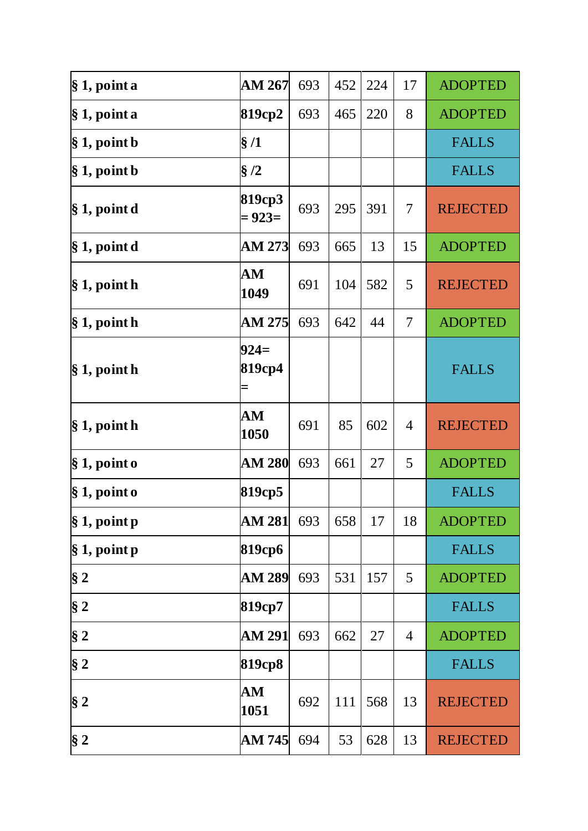| $\S 1$ , point a       | <b>AM 267</b>      | 693 | 452 | 224 | 17 | <b>ADOPTED</b>  |
|------------------------|--------------------|-----|-----|-----|----|-----------------|
| § 1, point a           | 819ср2             | 693 | 465 | 220 | 8  | <b>ADOPTED</b>  |
| $\S 1$ , point b       | §/1                |     |     |     |    | <b>FALLS</b>    |
| $\S 1$ , point b       | §/2                |     |     |     |    | <b>FALLS</b>    |
| $\S 1$ , point d       | 819cp3<br>$= 923=$ | 693 | 295 | 391 | 7  | <b>REJECTED</b> |
| $\S 1$ , point d       | <b>AM 273</b>      | 693 | 665 | 13  | 15 | <b>ADOPTED</b>  |
| $\S 1$ , point h       | AM<br>1049         | 691 | 104 | 582 | 5  | <b>REJECTED</b> |
| § 1, point h           | AM 275             | 693 | 642 | 44  | 7  | <b>ADOPTED</b>  |
| $\S 1$ , point h       | $924=$<br>819cp4   |     |     |     |    | <b>FALLS</b>    |
| $\S 1$ , point h       | ${\bf AM}$<br>1050 | 691 | 85  | 602 | 4  | <b>REJECTED</b> |
| $\S 1$ , point o       | <b>AM 280</b>      | 693 | 661 | 27  | 5  | <b>ADOPTED</b>  |
| $\S 1$ , point o       | 819cp5             |     |     |     |    | <b>FALLS</b>    |
| $\vert \S 1$ , point p | <b>AM 281</b>      | 693 | 658 | 17  | 18 | <b>ADOPTED</b>  |
| § 1, point p           | 819срб             |     |     |     |    | <b>FALLS</b>    |
| § 2                    | <b>AM 289</b>      | 693 | 531 | 157 | 5  | <b>ADOPTED</b>  |
| $§$ 2                  | 819cp7             |     |     |     |    | <b>FALLS</b>    |
| $\S 2$                 | AM 291             | 693 | 662 | 27  | 4  | <b>ADOPTED</b>  |
| $§$ 2                  | 819cp8             |     |     |     |    | <b>FALLS</b>    |
| $\S 2$                 | AM<br>1051         | 692 | 111 | 568 | 13 | <b>REJECTED</b> |
| $\S 2$                 | AM 745             | 694 | 53  | 628 | 13 | <b>REJECTED</b> |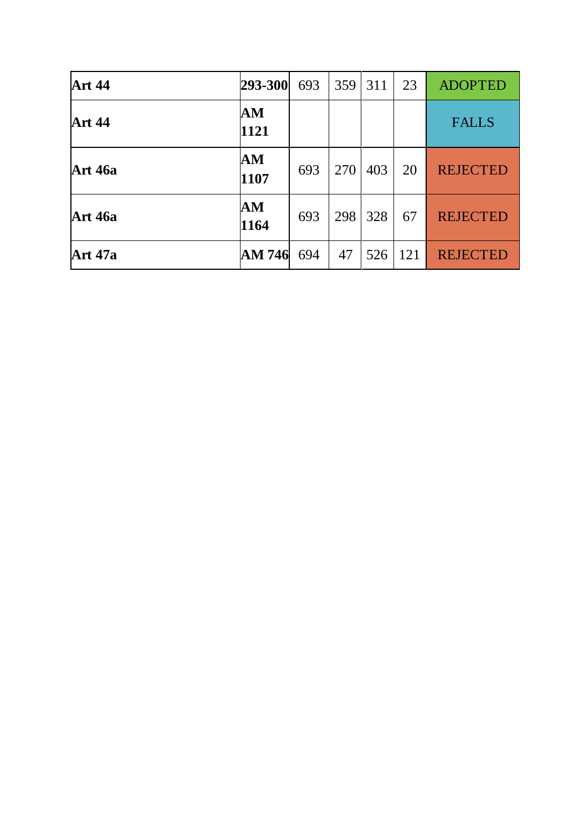| <b>Art 44</b>  | 293-300            | 693 | 359 | 311 | 23  | <b>ADOPTED</b>  |
|----------------|--------------------|-----|-----|-----|-----|-----------------|
| <b>Art 44</b>  | ${\bf AM}$<br>1121 |     |     |     |     | <b>FALLS</b>    |
| <b>Art 46a</b> | ${\bf AM}$<br>1107 | 693 | 270 | 403 | 20  | <b>REJECTED</b> |
| <b>Art 46a</b> | ${\bf AM}$<br>1164 | 693 | 298 | 328 | 67  | <b>REJECTED</b> |
| <b>Art 47a</b> | AM 746             | 694 | 47  | 526 | 121 | <b>REJECTED</b> |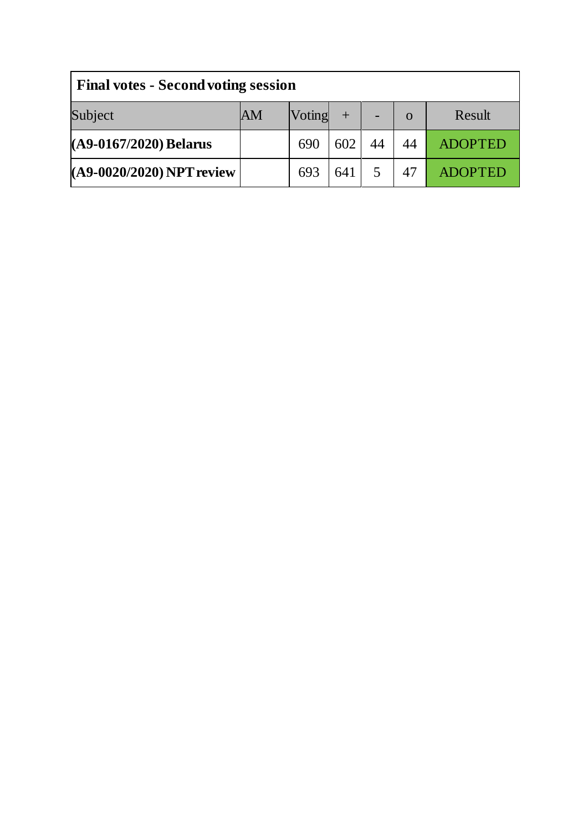| <b>Final votes - Second voting session</b> |    |        |     |  |          |                |  |  |
|--------------------------------------------|----|--------|-----|--|----------|----------------|--|--|
| Subject                                    | AM | Voting |     |  | $\Omega$ | Result         |  |  |
| (A9-0167/2020) Belarus                     |    | 690    | 602 |  | 44       | <b>ADOPTED</b> |  |  |
| (A9-0020/2020) NPT review                  |    | 693    | 641 |  | 47       | <b>ADOPTED</b> |  |  |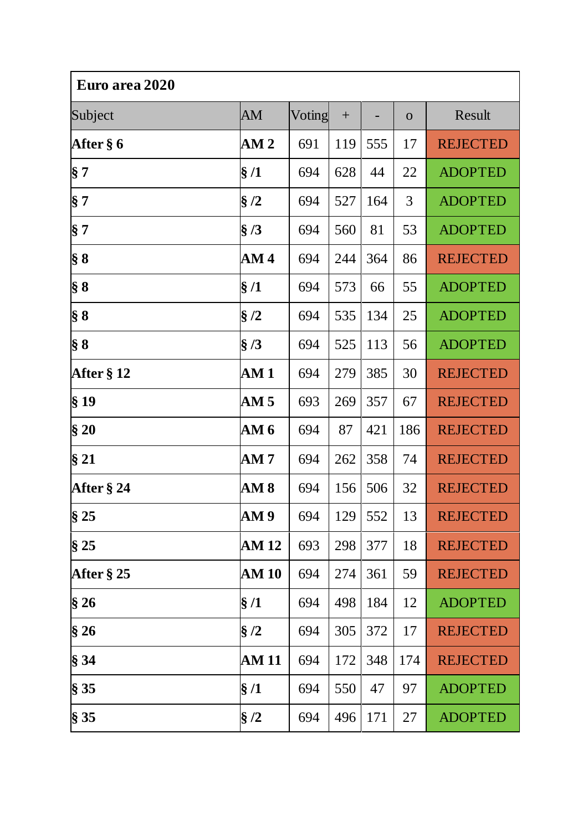| Euro area 2020 |                 |        |     |     |              |                 |  |
|----------------|-----------------|--------|-----|-----|--------------|-----------------|--|
| Subject        | AM              | Voting | $+$ |     | $\mathbf{O}$ | Result          |  |
| After § 6      | AM <sub>2</sub> | 691    | 119 | 555 | 17           | <b>REJECTED</b> |  |
| $\S 7$         | $\S/1$          | 694    | 628 | 44  | 22           | <b>ADOPTED</b>  |  |
| § 7            | $\S/2$          | 694    | 527 | 164 | 3            | <b>ADOPTED</b>  |  |
| $\S 7$         | $\S/3$          | 694    | 560 | 81  | 53           | <b>ADOPTED</b>  |  |
| $\S 8$         | AM4             | 694    | 244 | 364 | 86           | <b>REJECTED</b> |  |
| $\S 8$         | $\S/1$          | 694    | 573 | 66  | 55           | <b>ADOPTED</b>  |  |
| $\S 8$         | $\S/2$          | 694    | 535 | 134 | 25           | <b>ADOPTED</b>  |  |
| $\S 8$         | $\S/3$          | 694    | 525 | 113 | 56           | <b>ADOPTED</b>  |  |
| After § 12     | AM1             | 694    | 279 | 385 | 30           | <b>REJECTED</b> |  |
| §19            | AM <sub>5</sub> | 693    | 269 | 357 | 67           | <b>REJECTED</b> |  |
| §20            | AM 6            | 694    | 87  | 421 | 186          | <b>REJECTED</b> |  |
| §21            | AM7             | 694    | 262 | 358 | 74           | <b>REJECTED</b> |  |
| After $\S 24$  | AM 8            | 694    | 156 | 506 | 32           | <b>REJECTED</b> |  |
| §25            | AM 9            | 694    | 129 | 552 | 13           | <b>REJECTED</b> |  |
| §25            | <b>AM 12</b>    | 693    | 298 | 377 | 18           | <b>REJECTED</b> |  |
| After $\S 25$  | <b>AM 10</b>    | 694    | 274 | 361 | 59           | <b>REJECTED</b> |  |
| §26            | $\S/1$          | 694    | 498 | 184 | 12           | <b>ADOPTED</b>  |  |
| §26            | $\S/2$          | 694    | 305 | 372 | 17           | <b>REJECTED</b> |  |
| § 34           | <b>AM 11</b>    | 694    | 172 | 348 | 174          | <b>REJECTED</b> |  |
| § 35           | $\S/1$          | 694    | 550 | 47  | 97           | <b>ADOPTED</b>  |  |
| § 35           | $\S/2$          | 694    | 496 | 171 | 27           | <b>ADOPTED</b>  |  |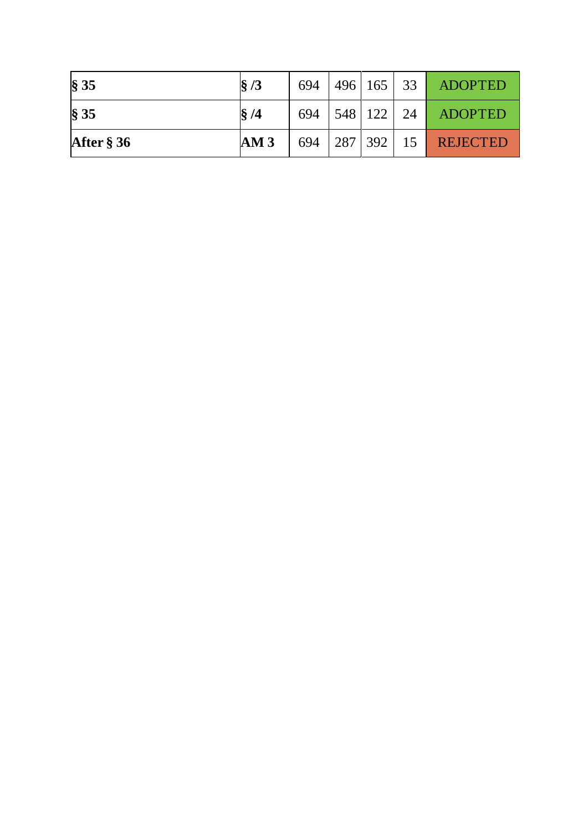| $\$\,35$      | $\frac{8}{3}$ | 694 |         | 496 165 33  |    | <b>ADOPTED</b>  |
|---------------|---------------|-----|---------|-------------|----|-----------------|
| $\$\,35$      | §/4           | 694 |         | $548$   122 | 24 | <b>ADOPTED</b>  |
| After $\S 36$ | AM3           | 694 | 287 392 |             | 15 | <b>REJECTED</b> |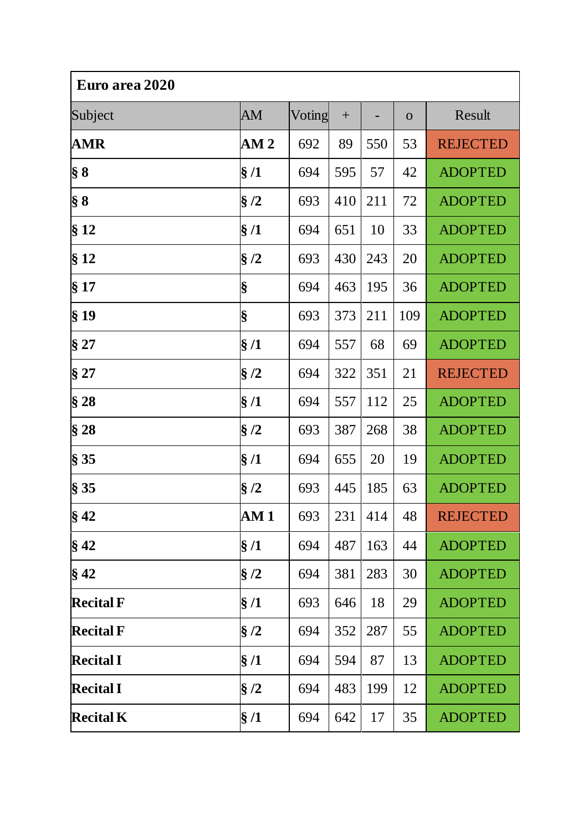| Euro area 2020   |                 |        |     |     |              |                 |  |
|------------------|-----------------|--------|-----|-----|--------------|-----------------|--|
| Subject          | AM              | Voting | $+$ |     | $\mathbf{O}$ | Result          |  |
| <b>AMR</b>       | AM <sub>2</sub> | 692    | 89  | 550 | 53           | <b>REJECTED</b> |  |
| $\S 8$           | $\S/1$          | 694    | 595 | 57  | 42           | <b>ADOPTED</b>  |  |
| $\S 8$           | $\S/2$          | 693    | 410 | 211 | 72           | <b>ADOPTED</b>  |  |
| §12              | §/1             | 694    | 651 | 10  | 33           | <b>ADOPTED</b>  |  |
| §12              | §/2             | 693    | 430 | 243 | 20           | <b>ADOPTED</b>  |  |
| § 17             | §               | 694    | 463 | 195 | 36           | <b>ADOPTED</b>  |  |
| §19              | §               | 693    | 373 | 211 | 109          | <b>ADOPTED</b>  |  |
| § 27             | §/1             | 694    | 557 | 68  | 69           | <b>ADOPTED</b>  |  |
| §27              | $\S/2$          | 694    | 322 | 351 | 21           | <b>REJECTED</b> |  |
| §28              | §/1             | 694    | 557 | 112 | 25           | <b>ADOPTED</b>  |  |
| §28              | §/2             | 693    | 387 | 268 | 38           | <b>ADOPTED</b>  |  |
| § 35             | $\S/1$          | 694    | 655 | 20  | 19           | <b>ADOPTED</b>  |  |
| § 35             | §/2             | 693    | 445 | 185 | 63           | <b>ADOPTED</b>  |  |
| $§$ 42           | AM 1            | 693    | 231 | 414 | 48           | <b>REJECTED</b> |  |
| $§$ 42           | $\S/1$          | 694    | 487 | 163 | 44           | <b>ADOPTED</b>  |  |
| $§$ 42           | $\S/2$          | 694    | 381 | 283 | 30           | <b>ADOPTED</b>  |  |
| <b>Recital F</b> | §/1             | 693    | 646 | 18  | 29           | <b>ADOPTED</b>  |  |
| <b>Recital F</b> | $\S/2$          | 694    | 352 | 287 | 55           | <b>ADOPTED</b>  |  |
| <b>Recital I</b> | $\S/1$          | 694    | 594 | 87  | 13           | <b>ADOPTED</b>  |  |
| <b>Recital I</b> | $\S/2$          | 694    | 483 | 199 | 12           | <b>ADOPTED</b>  |  |
| <b>Recital K</b> | $\S/1$          | 694    | 642 | 17  | 35           | <b>ADOPTED</b>  |  |